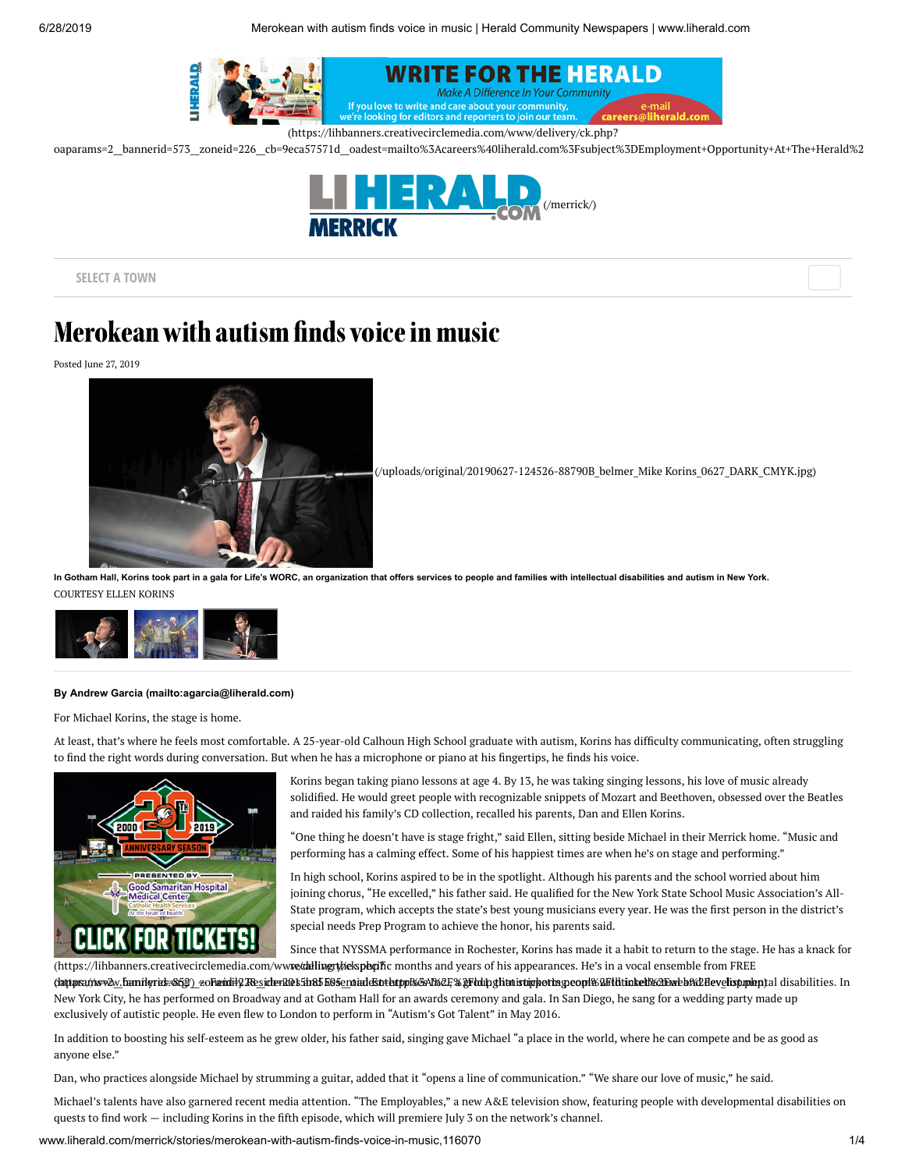

oaparams=2\_bannerid=573\_zoneid=226\_cb=9eca57571d\_oadest=mailto%3Acareers%40liherald.com%3Fsubject%3DEmployment+Opportunity+At+The+Herald%2



**SELECT A TOWN**

# Merokean with autism finds voice in music

Posted June 27, 2019



[\(/uploads/original/20190627-124526-88790B\\_belmer\\_Mike](http://www.liherald.com/uploads/original/20190627-124526-88790B_belmer_Mike%20Korins_0627_DARK_CMYK.jpg) Korins\_0627\_DARK\_CMYK.jpg)

**In Gotham Hall, Korins took part in a gala for Life's WORC, an organization that offers services to people and families with intellectual disabilities and autism in New York.** COURTESY ELLEN KORINS



#### **By [Andrew Garcia \(mailto:agarcia@liherald.com\)](mailto:agarcia@liherald.com)**

For Michael Korins, the stage is home.

At least, that's where he feels most comfortable. A 25-year-old Calhoun High School graduate with autism, Korins has difficulty communicating, often struggling to find the right words during conversation. But when he has a microphone or piano at his fingertips, he finds his voice.



Korins began taking piano lessons at age 4. By 13, he was taking singing lessons, his love of music already solidied. He would greet people with recognizable snippets of Mozart and Beethoven, obsessed over the Beatles and raided his family's CD collection, recalled his parents, Dan and Ellen Korins.

"One thing he doesn't have is stage fright," said Ellen, sitting beside Michael in their Merrick home. "Music and performing has a calming effect. Some of his happiest times are when he's on stage and performing."

In high school, Korins aspired to be in the spotlight. Although his parents and the school worried about him joining chorus, "He excelled," his father said. He qualified for the New York State School Music Association's All-State program, which accepts the state's best young musicians every year. He was the first person in the district's special needs Prep Program to achieve the honor, his parents said.

(https://lihbanners.creativecirclemedia.com/ww**w/deling the specific** months and years of his appearances. He's in a vocal ensemble from FREE Since that NYSSMA performance in Rochester, Korins has made it a habit to return to the stage. He has a knack for

dattpsa*ti*tsvav.banilyrid=&Eg^)\_zoFandil?ResiderR@sEb&5bB5enoiadeStrlatppkeAl%2F%&Flddpglitnistipportsgreopl&&Fldtinkelf&2Ewreb%2Hevelisp.mleptal disabilities. In New York City, he has performed on Broadway and at Gotham Hall for an awards ceremony and gala. In San Diego, he sang for a wedding party made up exclusively of autistic people. He even flew to London to perform in "Autism's Got Talent" in May 2016.

In addition to boosting his self-esteem as he grew older, his father said, singing gave Michael "a place in the world, where he can compete and be as good as anyone else."

Dan, who practices alongside Michael by strumming a guitar, added that it "opens a line of communication." "We share our love of music," he said.

Michael's talents have also garnered recent media attention. "The Employables," a new A&E television show, featuring people with developmental disabilities on quests to find work - including Korins in the fifth episode, which will premiere July 3 on the network's channel.

www.liherald.com/merrick/stories/merokean-with-autism-finds-voice-in-music,116070 1/4